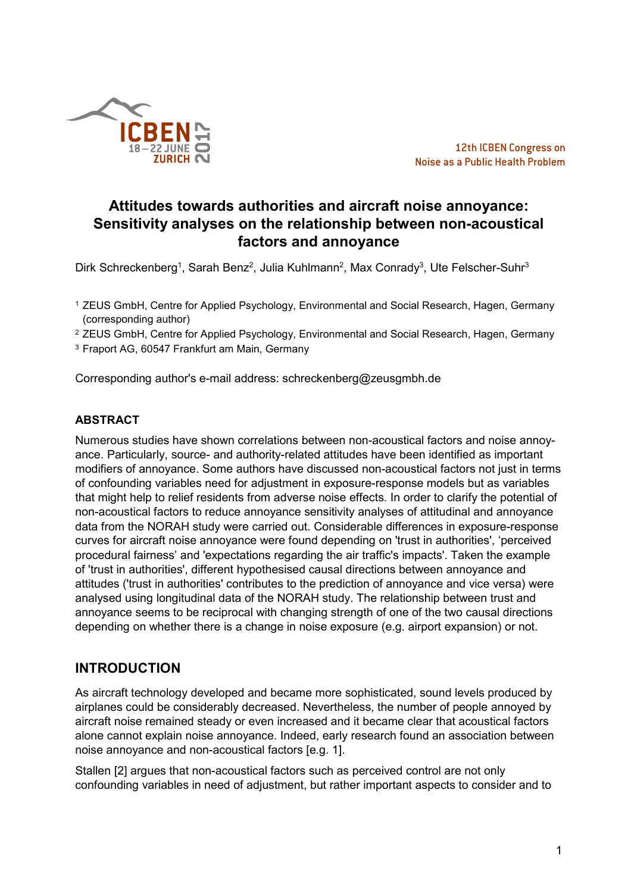

# **Attitudes towards authorities and aircraft noise annoyance: Sensitivity analyses on the relationship between non-acoustical factors and annoyance**

Dirk Schreckenberg<sup>1</sup>, Sarah Benz<sup>2</sup>, Julia Kuhlmann<sup>2</sup>, Max Conrady<sup>3</sup>, Ute Felscher-Suhr<sup>3</sup>

- <sup>1</sup> ZEUS GmbH, Centre for Applied Psychology, Environmental and Social Research, Hagen, Germany (corresponding author)
- <sup>2</sup> ZEUS GmbH, Centre for Applied Psychology, Environmental and Social Research, Hagen, Germany
- <sup>3</sup> Fraport AG, 60547 Frankfurt am Main, Germany

Corresponding author's e-mail address: schreckenberg@zeusgmbh.de

### **ABSTRACT**

Numerous studies have shown correlations between non-acoustical factors and noise annoyance. Particularly, source- and authority-related attitudes have been identified as important modifiers of annoyance. Some authors have discussed non-acoustical factors not just in terms of confounding variables need for adjustment in exposure-response models but as variables that might help to relief residents from adverse noise effects. In order to clarify the potential of non-acoustical factors to reduce annoyance sensitivity analyses of attitudinal and annoyance data from the NORAH study were carried out. Considerable differences in exposure-response curves for aircraft noise annoyance were found depending on 'trust in authorities', 'perceived procedural fairness' and 'expectations regarding the air traffic's impacts'. Taken the example of 'trust in authorities', different hypothesised causal directions between annoyance and attitudes ('trust in authorities' contributes to the prediction of annoyance and vice versa) were analysed using longitudinal data of the NORAH study. The relationship between trust and annoyance seems to be reciprocal with changing strength of one of the two causal directions depending on whether there is a change in noise exposure (e.g. airport expansion) or not.

## **INTRODUCTION**

As aircraft technology developed and became more sophisticated, sound levels produced by airplanes could be considerably decreased. Nevertheless, the number of people annoyed by aircraft noise remained steady or even increased and it became clear that acoustical factors alone cannot explain noise annoyance. Indeed, early research found an association between noise annoyance and non-acoustical factors [e.g. 1].

Stallen [2] argues that non-acoustical factors such as perceived control are not only confounding variables in need of adjustment, but rather important aspects to consider and to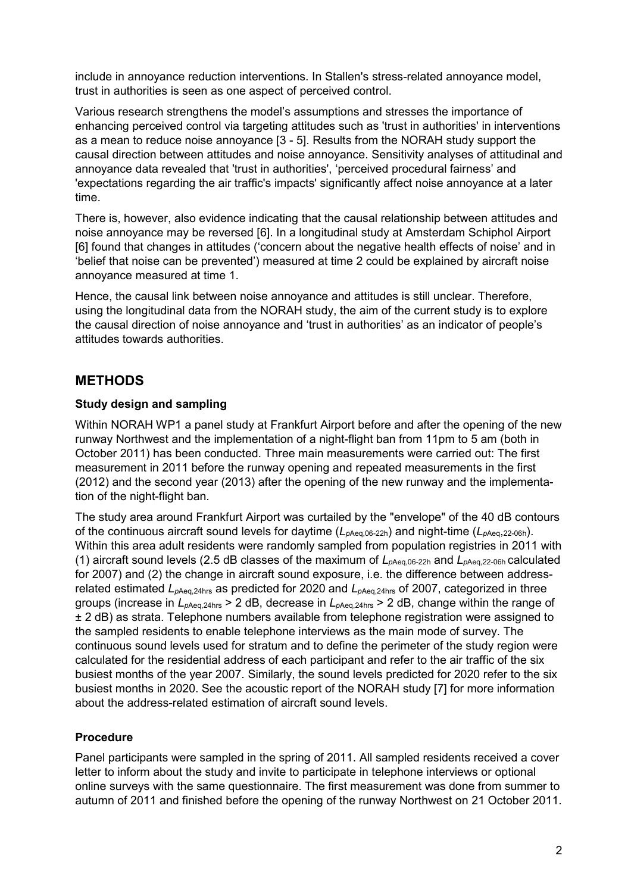include in annoyance reduction interventions. In Stallen's stress-related annoyance model, trust in authorities is seen as one aspect of perceived control.

Various research strengthens the model's assumptions and stresses the importance of enhancing perceived control via targeting attitudes such as 'trust in authorities' in interventions as a mean to reduce noise annoyance [3 - 5]. Results from the NORAH study support the causal direction between attitudes and noise annoyance. Sensitivity analyses of attitudinal and annoyance data revealed that 'trust in authorities', 'perceived procedural fairness' and 'expectations regarding the air traffic's impacts' significantly affect noise annoyance at a later time.

There is, however, also evidence indicating that the causal relationship between attitudes and noise annoyance may be reversed [6]. In a longitudinal study at Amsterdam Schiphol Airport [6] found that changes in attitudes ('concern about the negative health effects of noise' and in 'belief that noise can be prevented') measured at time 2 could be explained by aircraft noise annoyance measured at time 1.

Hence, the causal link between noise annoyance and attitudes is still unclear. Therefore, using the longitudinal data from the NORAH study, the aim of the current study is to explore the causal direction of noise annoyance and 'trust in authorities' as an indicator of people's attitudes towards authorities.

## **METHODS**

### **Study design and sampling**

Within NORAH WP1 a panel study at Frankfurt Airport before and after the opening of the new runway Northwest and the implementation of a night-flight ban from 11pm to 5 am (both in October 2011) has been conducted. Three main measurements were carried out: The first measurement in 2011 before the runway opening and repeated measurements in the first (2012) and the second year (2013) after the opening of the new runway and the implementation of the night-flight ban.

The study area around Frankfurt Airport was curtailed by the "envelope" of the 40 dB contours of the continuous aircraft sound levels for daytime ( $L_{\text{pAea.06-22h}}$ ) and night-time ( $L_{\text{pAea.22-06h}}$ ). Within this area adult residents were randomly sampled from population registries in 2011 with (1) aircraft sound levels (2.5 dB classes of the maximum of *Lp*Aeq,06-22h and *Lp*Aeq,22-06h calculated for 2007) and (2) the change in aircraft sound exposure, i.e. the difference between addressrelated estimated  $L_{pAea.24hs}$  as predicted for 2020 and  $L_{pAea.24hs}$  of 2007, categorized in three groups (increase in *Lp*Aeq,24hrs > 2 dB, decrease in *Lp*Aeq,24hrs > 2 dB, change within the range of ± 2 dB) as strata. Telephone numbers available from telephone registration were assigned to the sampled residents to enable telephone interviews as the main mode of survey. The continuous sound levels used for stratum and to define the perimeter of the study region were calculated for the residential address of each participant and refer to the air traffic of the six busiest months of the year 2007. Similarly, the sound levels predicted for 2020 refer to the six busiest months in 2020. See the acoustic report of the NORAH study [7] for more information about the address-related estimation of aircraft sound levels.

### **Procedure**

Panel participants were sampled in the spring of 2011. All sampled residents received a cover letter to inform about the study and invite to participate in telephone interviews or optional online surveys with the same questionnaire. The first measurement was done from summer to autumn of 2011 and finished before the opening of the runway Northwest on 21 October 2011.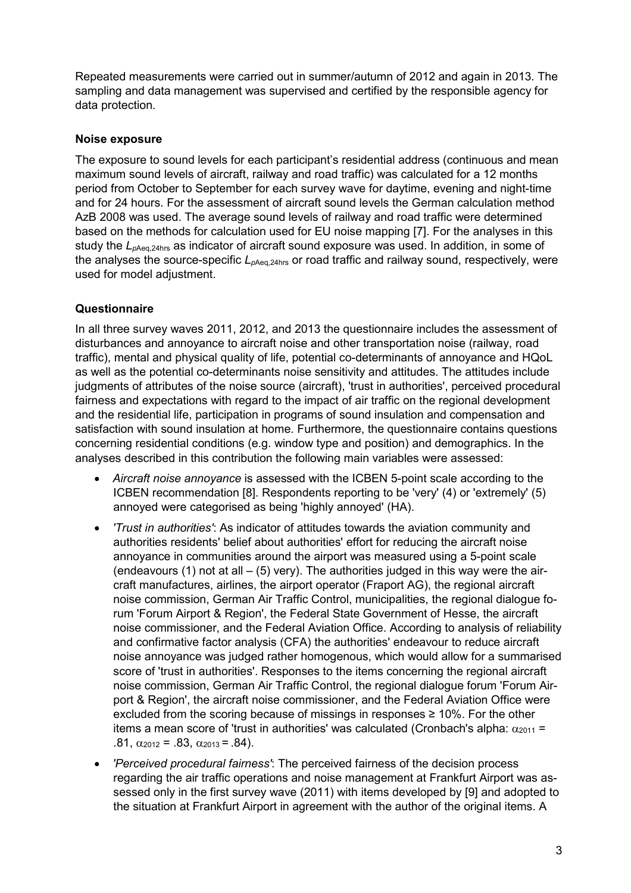Repeated measurements were carried out in summer/autumn of 2012 and again in 2013. The sampling and data management was supervised and certified by the responsible agency for data protection.

#### **Noise exposure**

The exposure to sound levels for each participant's residential address (continuous and mean maximum sound levels of aircraft, railway and road traffic) was calculated for a 12 months period from October to September for each survey wave for daytime, evening and night-time and for 24 hours. For the assessment of aircraft sound levels the German calculation method AzB 2008 was used. The average sound levels of railway and road traffic were determined based on the methods for calculation used for EU noise mapping [7]. For the analyses in this study the *L<sub>pAeq,24hrs</sub>* as indicator of aircraft sound exposure was used. In addition, in some of the analyses the source-specific  $L_{pAeq,24hrs}$  or road traffic and railway sound, respectively, were used for model adjustment.

### **Questionnaire**

In all three survey waves 2011, 2012, and 2013 the questionnaire includes the assessment of disturbances and annoyance to aircraft noise and other transportation noise (railway, road traffic), mental and physical quality of life, potential co-determinants of annoyance and HQoL as well as the potential co-determinants noise sensitivity and attitudes. The attitudes include judgments of attributes of the noise source (aircraft), 'trust in authorities', perceived procedural fairness and expectations with regard to the impact of air traffic on the regional development and the residential life, participation in programs of sound insulation and compensation and satisfaction with sound insulation at home. Furthermore, the questionnaire contains questions concerning residential conditions (e.g. window type and position) and demographics. In the analyses described in this contribution the following main variables were assessed:

- *Aircraft noise annoyance* is assessed with the ICBEN 5-point scale according to the ICBEN recommendation [8]. Respondents reporting to be 'very' (4) or 'extremely' (5) annoyed were categorised as being 'highly annoyed' (HA).
- *'Trust in authorities'*: As indicator of attitudes towards the aviation community and authorities residents' belief about authorities' effort for reducing the aircraft noise annoyance in communities around the airport was measured using a 5-point scale (endeavours  $(1)$  not at all  $(5)$  very). The authorities judged in this way were the aircraft manufactures, airlines, the airport operator (Fraport AG), the regional aircraft noise commission, German Air Traffic Control, municipalities, the regional dialogue forum 'Forum Airport & Region', the Federal State Government of Hesse, the aircraft noise commissioner, and the Federal Aviation Office. According to analysis of reliability and confirmative factor analysis (CFA) the authorities' endeavour to reduce aircraft noise annoyance was judged rather homogenous, which would allow for a summarised score of 'trust in authorities'. Responses to the items concerning the regional aircraft noise commission, German Air Traffic Control, the regional dialogue forum 'Forum Airport & Region', the aircraft noise commissioner, and the Federal Aviation Office were excluded from the scoring because of missings in responses  $\geq 10\%$ . For the other items a mean score of 'trust in authorities' was calculated (Cronbach's alpha:  $α<sub>2011</sub>$  = .81,  $\alpha_{2012} = .83$ ,  $\alpha_{2013} = .84$ ).
- *'Perceived procedural fairness'*: The perceived fairness of the decision process regarding the air traffic operations and noise management at Frankfurt Airport was assessed only in the first survey wave (2011) with items developed by [9] and adopted to the situation at Frankfurt Airport in agreement with the author of the original items. A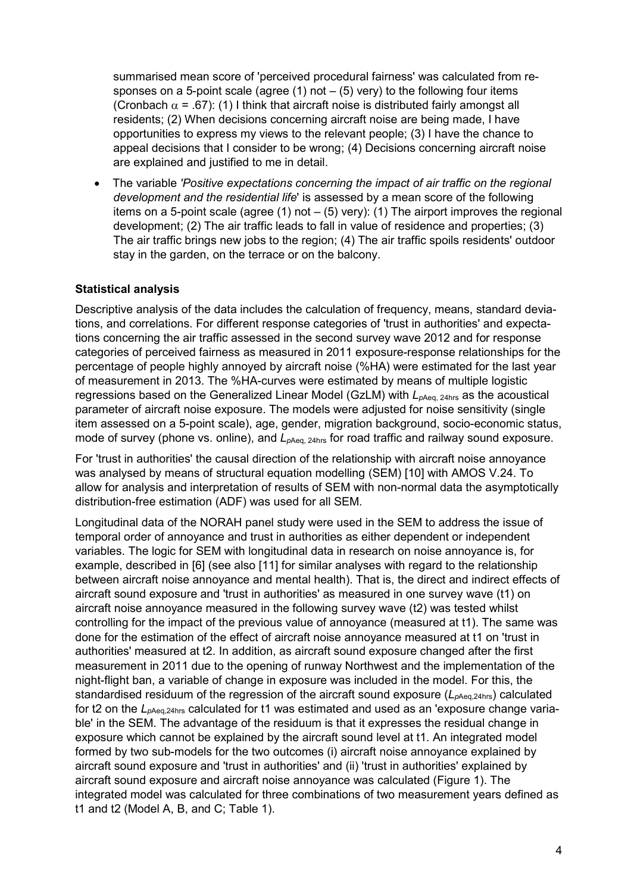summarised mean score of 'perceived procedural fairness' was calculated from responses on a 5-point scale (agree  $(1)$  not  $(5)$  very) to the following four items (Cronbach  $\alpha$  = .67): (1) I think that aircraft noise is distributed fairly amongst all residents; (2) When decisions concerning aircraft noise are being made, I have opportunities to express my views to the relevant people; (3) I have the chance to appeal decisions that I consider to be wrong; (4) Decisions concerning aircraft noise are explained and justified to me in detail.

• The variable *'Positive expectations concerning the impact of air traffic on the regional development and the residential life*' is assessed by a mean score of the following items on a 5-point scale (agree  $(1)$  not  $(5)$  very):  $(1)$  The airport improves the regional development; (2) The air traffic leads to fall in value of residence and properties; (3) The air traffic brings new jobs to the region; (4) The air traffic spoils residents' outdoor stay in the garden, on the terrace or on the balcony.

### **Statistical analysis**

Descriptive analysis of the data includes the calculation of frequency, means, standard deviations, and correlations. For different response categories of 'trust in authorities' and expectations concerning the air traffic assessed in the second survey wave 2012 and for response categories of perceived fairness as measured in 2011 exposure-response relationships for the percentage of people highly annoyed by aircraft noise (%HA) were estimated for the last year of measurement in 2013. The %HA-curves were estimated by means of multiple logistic regressions based on the Generalized Linear Model (GzLM) with  $L_{\text{DAea. 24hrs}}$  as the acoustical parameter of aircraft noise exposure. The models were adjusted for noise sensitivity (single item assessed on a 5-point scale), age, gender, migration background, socio-economic status, mode of survey (phone vs. online), and  $L_{\rho Aea, 24hs}$  for road traffic and railway sound exposure.

For 'trust in authorities' the causal direction of the relationship with aircraft noise annoyance was analysed by means of structural equation modelling (SEM) [10] with AMOS V.24. To allow for analysis and interpretation of results of SEM with non-normal data the asymptotically distribution-free estimation (ADF) was used for all SEM.

Longitudinal data of the NORAH panel study were used in the SEM to address the issue of temporal order of annoyance and trust in authorities as either dependent or independent variables. The logic for SEM with longitudinal data in research on noise annoyance is, for example, described in [6] (see also [11] for similar analyses with regard to the relationship between aircraft noise annoyance and mental health). That is, the direct and indirect effects of aircraft sound exposure and 'trust in authorities' as measured in one survey wave (t1) on aircraft noise annoyance measured in the following survey wave (t2) was tested whilst controlling for the impact of the previous value of annoyance (measured at t1). The same was done for the estimation of the effect of aircraft noise annoyance measured at t1 on 'trust in authorities' measured at t2. In addition, as aircraft sound exposure changed after the first measurement in 2011 due to the opening of runway Northwest and the implementation of the night-flight ban, a variable of change in exposure was included in the model. For this, the standardised residuum of the regression of the aircraft sound exposure ( $L_{pAeq,24hs}$ ) calculated for t2 on the *L<sub>pAeq,24hrs</sub>* calculated for t1 was estimated and used as an 'exposure change variable' in the SEM. The advantage of the residuum is that it expresses the residual change in exposure which cannot be explained by the aircraft sound level at t1. An integrated model formed by two sub-models for the two outcomes (i) aircraft noise annoyance explained by aircraft sound exposure and 'trust in authorities' and (ii) 'trust in authorities' explained by aircraft sound exposure and aircraft noise annoyance was calculated (Figure 1). The integrated model was calculated for three combinations of two measurement years defined as t1 and t2 (Model A, B, and C; Table 1).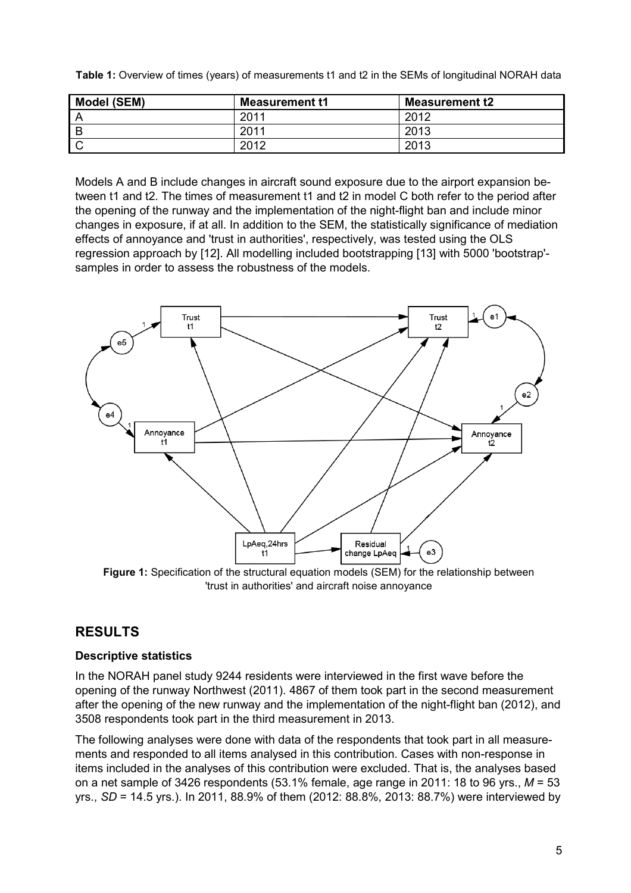|  |  |  |  |  | Table 1: Overview of times (years) of measurements t1 and t2 in the SEMs of longitudinal NORAH data |
|--|--|--|--|--|-----------------------------------------------------------------------------------------------------|
|--|--|--|--|--|-----------------------------------------------------------------------------------------------------|

| Model (SEM) | <b>Measurement t1</b> | <b>Measurement t2</b> |
|-------------|-----------------------|-----------------------|
|             | 2011                  | 2012                  |
|             | 2011                  | 2013                  |
|             | 2012                  | 2013                  |

Models A and B include changes in aircraft sound exposure due to the airport expansion between t1 and t2. The times of measurement t1 and t2 in model C both refer to the period after the opening of the runway and the implementation of the night-flight ban and include minor changes in exposure, if at all. In addition to the SEM, the statistically significance of mediation effects of annoyance and 'trust in authorities', respectively, was tested using the OLS regression approach by [12]. All modelling included bootstrapping [13] with 5000 'bootstrap' samples in order to assess the robustness of the models.



**Figure 1:** Specification of the structural equation models (SEM) for the relationship between 'trust in authorities' and aircraft noise annoyance

# **RESULTS**

### **Descriptive statistics**

In the NORAH panel study 9244 residents were interviewed in the first wave before the opening of the runway Northwest (2011). 4867 of them took part in the second measurement after the opening of the new runway and the implementation of the night-flight ban (2012), and 3508 respondents took part in the third measurement in 2013.

The following analyses were done with data of the respondents that took part in all measurements and responded to all items analysed in this contribution. Cases with non-response in items included in the analyses of this contribution were excluded. That is, the analyses based on a net sample of 3426 respondents (53.1% female, age range in 2011: 18 to 96 yrs., *M* = 53 yrs., *SD* = 14.5 yrs.). In 2011, 88.9% of them (2012: 88.8%, 2013: 88.7%) were interviewed by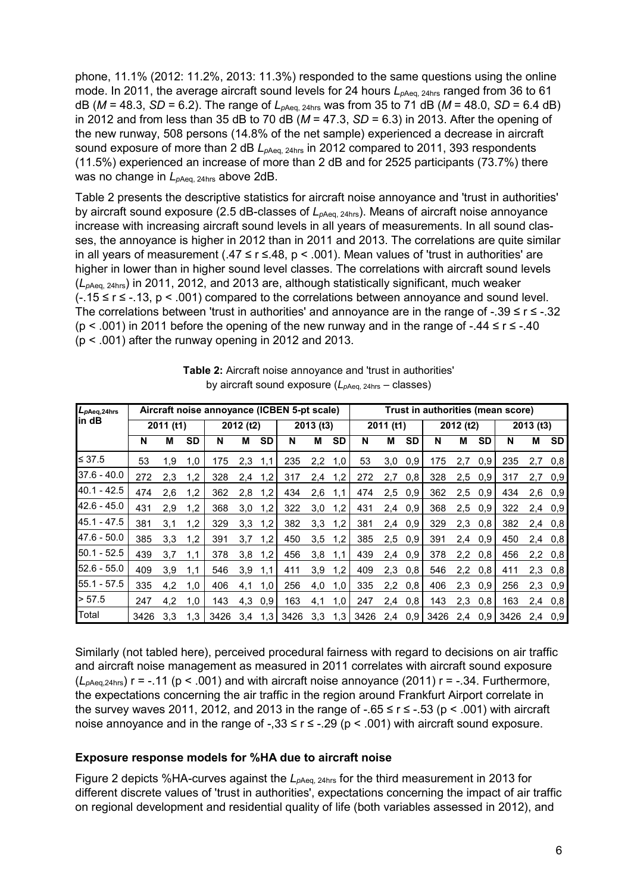phone, 11.1% (2012: 11.2%, 2013: 11.3%) responded to the same questions using the online mode. In 2011, the average aircraft sound levels for 24 hours  $L_{\text{pAea. 24hrs}}$  ranged from 36 to 61 dB ( $M = 48.3$ ,  $SD = 6.2$ ). The range of  $L_{pAeq, 24hrs}$  was from 35 to 71 dB ( $M = 48.0$ ,  $SD = 6.4$  dB) in 2012 and from less than 35 dB to 70 dB (*M* = 47.3, *SD* = 6.3) in 2013. After the opening of the new runway, 508 persons (14.8% of the net sample) experienced a decrease in aircraft sound exposure of more than 2 dB  $L_{pA}$ <sub>eq, 24hrs</sub> in 2012 compared to 2011, 393 respondents (11.5%) experienced an increase of more than 2 dB and for 2525 participants (73.7%) there was no change in  $L_{pAeq, 24hrs}$  above 2dB.

Table 2 presents the descriptive statistics for aircraft noise annoyance and 'trust in authorities' by aircraft sound exposure (2.5 dB-classes of  $L_{pAeq, 24hrs}$ ). Means of aircraft noise annoyance increase with increasing aircraft sound levels in all years of measurements. In all sound classes, the annoyance is higher in 2012 than in 2011 and 2013. The correlations are quite similar in all years of measurement (.47 ≤ r ≤.48, p < .001). Mean values of 'trust in authorities' are higher in lower than in higher sound level classes. The correlations with aircraft sound levels (*Lp*Aeq, 24hrs) in 2011, 2012, and 2013 are, although statistically significant, much weaker (-.15 ≤ r ≤ -.13, p < .001) compared to the correlations between annoyance and sound level. The correlations between 'trust in authorities' and annoyance are in the range of -.39 ≤ r ≤ -.32 ( $p$  < .001) in 2011 before the opening of the new runway and in the range of -.44  $\leq$  r  $\leq$  -.40 (p < .001) after the runway opening in 2012 and 2013.

| L <sub>pAeq,24hrs</sub> | Aircraft noise annoyance (ICBEN 5-pt scale) |     |           |           |     |           |      |           | Trust in authorities (mean score) |           |     |           |          |     |     |      |     |           |
|-------------------------|---------------------------------------------|-----|-----------|-----------|-----|-----------|------|-----------|-----------------------------------|-----------|-----|-----------|----------|-----|-----|------|-----|-----------|
| lin dB                  | 2011 (t1)                                   |     |           | 2012 (t2) |     | 2013 (t3) |      | 2011 (t1) |                                   | 2012 (t2) |     |           | 2013(13) |     |     |      |     |           |
|                         | N                                           | М   | <b>SD</b> | N         | м   | <b>SD</b> | N    | M         | <b>SD</b>                         | N         | М   | <b>SD</b> | N        | M   | SD  | N    | М   | <b>SD</b> |
| $\leq 37.5$             | 53                                          | 1,9 | 1,0       | 175       | 2,3 | 1,1       | 235  | 2,2       | 1,0                               | 53        | 3,0 | 0,9       | 175      | 2,7 | 0,9 | 235  | 2,7 | 0,8       |
| $37.6 - 40.0$           | 272                                         | 2,3 | 1,2       | 328       | 2,4 | 1,2       | 317  | 2,4       | 1,2                               | 272       | 2,7 | 0,8       | 328      | 2,5 | 0,9 | 317  | 2,7 | 0.9       |
| $40.1 - 42.5$           | 474                                         | 2,6 | 1,2       | 362       | 2,8 | 1,2       | 434  | 2,6       | 1,1                               | 474       | 2,5 | 0,9       | 362      | 2,5 | 0,9 | 434  | 2,6 | 0.9       |
| $42.6 - 45.0$           | 431                                         | 2,9 | 1,2       | 368       | 3,0 | 1,2       | 322  | 3,0       | 1,2                               | 431       | 2,4 | 0,9       | 368      | 2,5 | 0,9 | 322  | 2,4 | 0,9       |
| 45.1 - 47.5             | 381                                         | 3,1 | 1,2       | 329       | 3,3 | 1,2       | 382  | 3,3       | 1,2                               | 381       | 2,4 | 0,9       | 329      | 2,3 | 0,8 | 382  | 2,4 | 0,8       |
| 47.6 - 50.0             | 385                                         | 3,3 | 1,2       | 391       | 3,7 | 1,2       | 450  | 3,5       | 1,2                               | 385       | 2,5 | 0,9       | 391      | 2,4 | 0,9 | 450  | 2,4 | 0,8       |
| $50.1 - 52.5$           | 439                                         | 3,7 | 1,1       | 378       | 3,8 | 1,2       | 456  | 3,8       | 1,1                               | 439       | 2,4 | 0,9       | 378      | 2,2 | 0,8 | 456  | 2,2 | 0,8       |
| $52.6 - 55.0$           | 409                                         | 3,9 | 1,1       | 546       | 3,9 | 1,1       | 411  | 3,9       | 1,2                               | 409       | 2,3 | 0,8       | 546      | 2,2 | 0,8 | 411  | 2,3 | 0,8       |
| $55.1 - 57.5$           | 335                                         | 4,2 | 1,0       | 406       | 4,1 | 1,0       | 256  | 4,0       | 1,0                               | 335       | 2,2 | 0,8       | 406      | 2,3 | 0,9 | 256  | 2,3 | 0.9       |
| > 57.5                  | 247                                         | 4,2 | 1,0       | 143       | 4,3 | 0,9       | 163  | 4,1       | 1,0                               | 247       | 2,4 | 0,8       | 143      | 2,3 | 0,8 | 163  | 2,4 | 0,8       |
| Total                   | 3426                                        | 3.3 | 1.3       | 3426      | 3.4 | 1,3       | 3426 | 3.3       | 1,3                               | 3426      | 2.4 | 0.9       | 3426     | 2.4 | 0.9 | 3426 | 2.4 | 0.9       |

**Table 2:** Aircraft noise annoyance and 'trust in authorities' by aircraft sound exposure ( $L_{pAeq, 24hrs}$  – classes)

Similarly (not tabled here), perceived procedural fairness with regard to decisions on air traffic and aircraft noise management as measured in 2011 correlates with aircraft sound exposure  $(L_{\text{pA}eq,24\text{hrs}})$  r = -.11 (p < .001) and with aircraft noise annoyance (2011) r = -.34. Furthermore, the expectations concerning the air traffic in the region around Frankfurt Airport correlate in the survey waves 2011, 2012, and 2013 in the range of  $-0.65 \le r \le -0.53$  (p < .001) with aircraft noise annoyance and in the range of  $-0.33 \le r \le 0.29$  (p  $\lt 0.001$ ) with aircraft sound exposure.

#### **Exposure response models for %HA due to aircraft noise**

Figure 2 depicts %HA-curves against the *L*<sub>pAeq, 24hrs</sub> for the third measurement in 2013 for different discrete values of 'trust in authorities', expectations concerning the impact of air traffic on regional development and residential quality of life (both variables assessed in 2012), and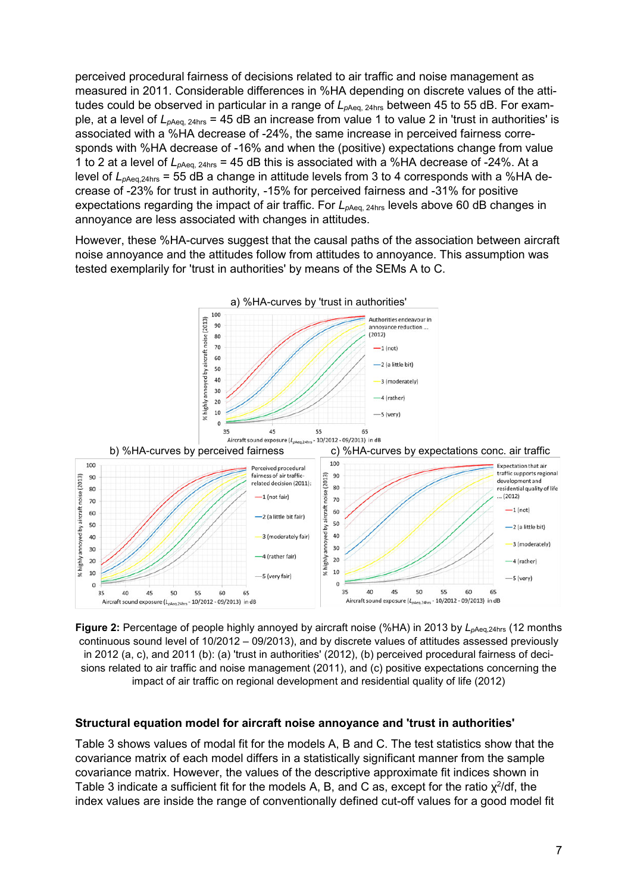perceived procedural fairness of decisions related to air traffic and noise management as measured in 2011. Considerable differences in %HA depending on discrete values of the attitudes could be observed in particular in a range of  $L_{pAeq, 24hs}$  between 45 to 55 dB. For example, at a level of  $L_{pAeq, 24hs} = 45$  dB an increase from value 1 to value 2 in 'trust in authorities' is associated with a %HA decrease of -24%, the same increase in perceived fairness corresponds with %HA decrease of -16% and when the (positive) expectations change from value 1 to 2 at a level of  $L_{pAeq, 24hs} = 45$  dB this is associated with a %HA decrease of -24%. At a level of  $L_{pAeq,24hs}$  = 55 dB a change in attitude levels from 3 to 4 corresponds with a %HA decrease of -23% for trust in authority, -15% for perceived fairness and -31% for positive expectations regarding the impact of air traffic. For  $L_{pAeq, 24hs}$  levels above 60 dB changes in annoyance are less associated with changes in attitudes.

However, these %HA-curves suggest that the causal paths of the association between aircraft noise annoyance and the attitudes follow from attitudes to annoyance. This assumption was tested exemplarily for 'trust in authorities' by means of the SEMs A to C.



**Figure 2:** Percentage of people highly annoyed by aircraft noise (%HA) in 2013 by  $L_{\text{pAea.24hs}}$  (12 months continuous sound level of 10/2012 – 09/2013), and by discrete values of attitudes assessed previously in 2012 (a, c), and 2011 (b): (a) 'trust in authorities' (2012), (b) perceived procedural fairness of decisions related to air traffic and noise management (2011), and (c) positive expectations concerning the impact of air traffic on regional development and residential quality of life (2012)

#### **Structural equation model for aircraft noise annoyance and 'trust in authorities'**

Table 3 shows values of modal fit for the models A, B and C. The test statistics show that the covariance matrix of each model differs in a statistically significant manner from the sample covariance matrix. However, the values of the descriptive approximate fit indices shown in Table 3 indicate a sufficient fit for the models A, B, and C as, except for the ratio  $\chi^2$ /df, the index values are inside the range of conventionally defined cut-off values for a good model fit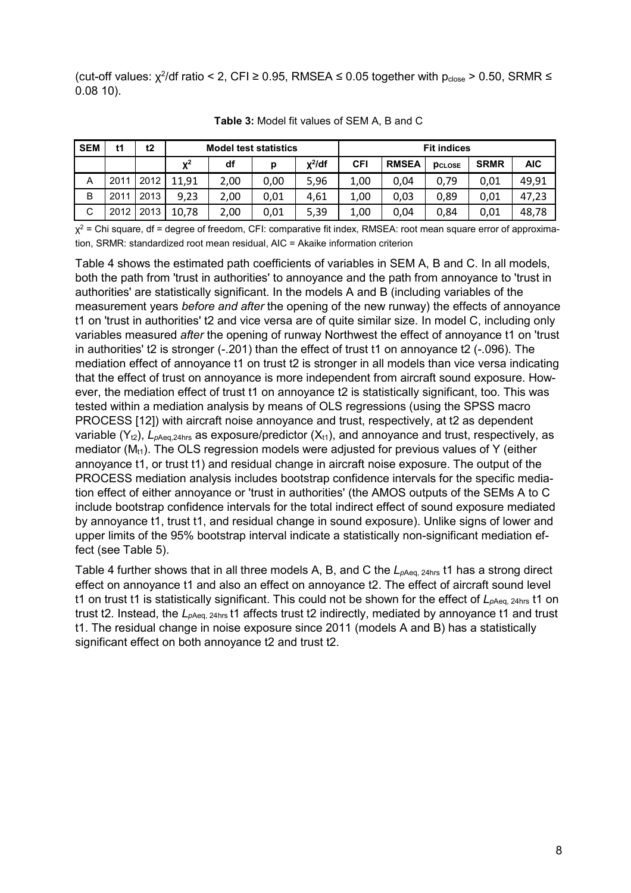(cut-off values:  $\chi^2$ /df ratio < 2, CFI ≥ 0.95, RMSEA ≤ 0.05 together with p<sub>close</sub> > 0.50, SRMR ≤ 0.08 10).

| <b>SEM</b> | t1   | t2   |             | <b>Model test statistics</b> |      |              |      |              | <b>Fit indices</b> |             |            |
|------------|------|------|-------------|------------------------------|------|--------------|------|--------------|--------------------|-------------|------------|
|            |      |      | ${\bf v}^2$ | df                           | р    | $\chi^2$ /df | CFI  | <b>RMSEA</b> | <b>PCLOSE</b>      | <b>SRMR</b> | <b>AIC</b> |
| A          | 2011 | 2012 | 11,91       | 2,00                         | 0,00 | 5,96         | 1,00 | 0,04         | 0,79               | 0.01        | 49.91      |
| B          | 2011 | 2013 | 9,23        | 2,00                         | 0.01 | 4,61         | 1,00 | 0,03         | 0,89               | 0.01        | 47,23      |
| C          | 2012 | 2013 | 10,78       | 2,00                         | 0,01 | 5,39         | 1,00 | 0,04         | 0,84               | 0.01        | 48,78      |

**Table 3:** Model fit values of SEM A, B and C

 $\chi^2$  = Chi square, df = degree of freedom, CFI: comparative fit index, RMSEA: root mean square error of approximation, SRMR: standardized root mean residual, AIC = Akaike information criterion

Table 4 shows the estimated path coefficients of variables in SEM A, B and C. In all models, both the path from 'trust in authorities' to annoyance and the path from annoyance to 'trust in authorities' are statistically significant. In the models A and B (including variables of the measurement years *before and after* the opening of the new runway) the effects of annoyance t1 on 'trust in authorities' t2 and vice versa are of quite similar size. In model C, including only variables measured *after* the opening of runway Northwest the effect of annoyance t1 on 'trust in authorities' t2 is stronger (-.201) than the effect of trust t1 on annoyance t2 (-.096). The mediation effect of annoyance t1 on trust t2 is stronger in all models than vice versa indicating that the effect of trust on annoyance is more independent from aircraft sound exposure. However, the mediation effect of trust t1 on annoyance t2 is statistically significant, too. This was tested within a mediation analysis by means of OLS regressions (using the SPSS macro PROCESS [12]) with aircraft noise annoyance and trust, respectively, at t2 as dependent variable  $(Y_{t2})$ ,  $L_{pAeq,24hrs}$  as exposure/predictor  $(X_{t1})$ , and annoyance and trust, respectively, as mediator  $(M_H)$ . The OLS regression models were adjusted for previous values of Y (either annoyance t1, or trust t1) and residual change in aircraft noise exposure. The output of the PROCESS mediation analysis includes bootstrap confidence intervals for the specific mediation effect of either annoyance or 'trust in authorities' (the AMOS outputs of the SEMs A to C include bootstrap confidence intervals for the total indirect effect of sound exposure mediated by annoyance t1, trust t1, and residual change in sound exposure). Unlike signs of lower and upper limits of the 95% bootstrap interval indicate a statistically non-significant mediation effect (see Table 5).

Table 4 further shows that in all three models A, B, and C the  $L_{pAeq, 24hs}$  t1 has a strong direct effect on annoyance t1 and also an effect on annoyance t2. The effect of aircraft sound level t1 on trust t1 is statistically significant. This could not be shown for the effect of  $L_{pA}$ <sub>eq, 24hrs</sub> t1 on trust t2. Instead, the L<sub>pAeq, 24hrs</sub> t1 affects trust t2 indirectly, mediated by annoyance t1 and trust t1. The residual change in noise exposure since 2011 (models A and B) has a statistically significant effect on both annoyance t2 and trust t2.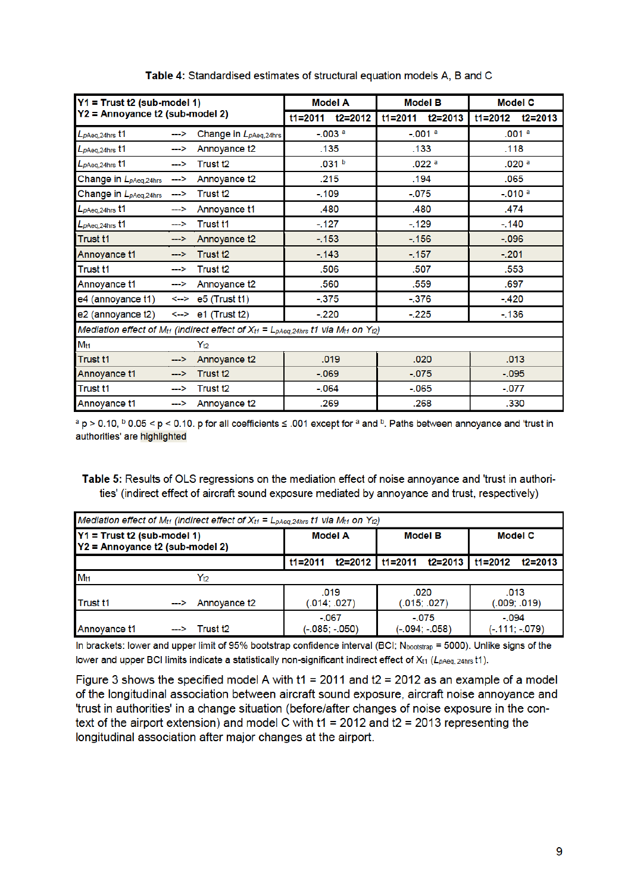| $Y1 = Trust 12$ (sub-model 1)              |               |                                                                                                                                             |             | <b>Model A</b>        |             | <b>Model B</b>    | <b>Model C</b> |                       |      |  |
|--------------------------------------------|---------------|---------------------------------------------------------------------------------------------------------------------------------------------|-------------|-----------------------|-------------|-------------------|----------------|-----------------------|------|--|
| Y2 = Annoyance t2 (sub-model 2)            |               |                                                                                                                                             | $t1 = 2011$ | $t2 = 2012$           | $t1 = 2011$ | $t2 = 2013$       | $t1 = 2012$    | $t2 = 2013$           |      |  |
| L <sub>pAeq,24hrs</sub> t1                 | --->          | Change in L <sub>pAeq,24hrs</sub>                                                                                                           |             | $-0.003$ <sup>a</sup> | $-.001a$    |                   |                | .001 <sup>a</sup>     |      |  |
| $L_{pAeq,24hrs}$ t1                        | -->           | Annoyance t2                                                                                                                                |             | .135                  |             | .133              |                | .118                  |      |  |
| $L_{pAeq,24hrs}$ t1                        | -->           | Trust <sub>t2</sub>                                                                                                                         |             | .031 <sup>b</sup>     |             | .022 <sup>a</sup> |                | .020 <sup>a</sup>     |      |  |
| Change in L <sub>pAeq,24hrs</sub>          | —>            | Annoyance t2                                                                                                                                |             | .215                  |             | .194              |                | .065                  |      |  |
| Change in L <sub>pAeq,24hrs</sub>          | $\rightarrow$ | Trust <sub>t2</sub>                                                                                                                         | $-.109$     |                       | $-0.075$    |                   |                | $-0.010$ <sup>a</sup> |      |  |
| L <sub>pAeq,24hrs</sub> t1                 | —>            | Annoyance t1                                                                                                                                |             | .480                  |             | .480              | .474           |                       |      |  |
| $L_{pAeq,24hrs}$ t1                        | -->           | <b>Trust t1</b>                                                                                                                             |             | $-.127$<br>$-129$     |             |                   | $-.140$        |                       |      |  |
| <b>Trust t1</b>                            | -->           | Annoyance t2                                                                                                                                |             | $-.153$<br>$-156$     |             |                   | $-.096$        |                       |      |  |
| Annoyance t1                               | -->           | Trust <sub>12</sub>                                                                                                                         |             | $-.143$               |             | $-.157$           |                | $-.201$               |      |  |
| Trust <sub>t1</sub>                        | —>            | Trust <sub>t2</sub>                                                                                                                         |             | .506<br>.507          |             |                   | .553           |                       |      |  |
| Annoyance t1                               | -->           | Annoyance t2                                                                                                                                |             | .560                  |             | .559              | .697           |                       |      |  |
| e4 (annoyance $t1$ ) <--> e5 (Trust $t1$ ) |               |                                                                                                                                             | $-375$      |                       | $-376$      |                   |                | $-.420$               |      |  |
| e2 (annoyance $t2$ ) <--> e1 (Trust $t2$ ) |               |                                                                                                                                             | $-220$      |                       | $-225$      |                   | $-136$         |                       |      |  |
|                                            |               | Mediation effect of M <sub>t1</sub> (indirect effect of $X_{t1} = L_{\text{pAeq},24\text{hrs}}$ t1 via M <sub>t1</sub> on Y <sub>t2</sub> ) |             |                       |             |                   |                |                       |      |  |
| $M_{t1}$                                   |               | $Y_{t2}$                                                                                                                                    |             |                       |             |                   |                |                       |      |  |
| <b>Trust t1</b>                            | -->           | Annoyance t2                                                                                                                                | .019        |                       |             |                   | .020           |                       | .013 |  |
| Annoyance t1                               | $\rightarrow$ | Trust <sub>12</sub>                                                                                                                         | $-069$      |                       | $-.075$     |                   | $-.095$        |                       |      |  |
| Trust <sub>t1</sub>                        | ⊸>            | Trust <sub>t2</sub>                                                                                                                         |             | $-.064$<br>$-.065$    |             |                   | $-.077$        |                       |      |  |
| Annoyance t1                               | -->           | Annoyance t2                                                                                                                                |             | .269                  |             | .268              |                | .330                  |      |  |

Table 4: Standardised estimates of structural equation models A, B and C

 $a$  p > 0.10,  $b$  0.05 < p < 0.10, p for all coefficients  $\leq$  .001 except for  $a$  and  $b$ . Paths between annoyance and 'trust in authorities' are highlighted

Table 5: Results of OLS regressions on the mediation effect of noise annoyance and 'trust in authorities' (indirect effect of aircraft sound exposure mediated by annoyance and trust, respectively)

| Mediation effect of M <sub>t1</sub> (indirect effect of $X_{t1} = L_{\text{pAeq},24\text{hrs}}$ t1 via M <sub>t1</sub> on Y <sub>t2</sub> ) |  |                           |                             |                      |                             |                      |                           |                      |  |  |  |
|---------------------------------------------------------------------------------------------------------------------------------------------|--|---------------------------|-----------------------------|----------------------|-----------------------------|----------------------|---------------------------|----------------------|--|--|--|
| Y1 = Trust t2 (sub-model 1)<br>Y2 = Annoyance t2 (sub-model 2)                                                                              |  |                           |                             | <b>Model A</b>       |                             | <b>Model B</b>       | <b>Model C</b>            |                      |  |  |  |
|                                                                                                                                             |  |                           | $t1 = 2011$                 |                      | $t2=2012$   t1=2011         | t2=2013              | $t1 = 2012$               | $t2 = 2013$          |  |  |  |
| M <sub>ti1</sub>                                                                                                                            |  | $Y_{t2}$                  |                             |                      |                             |                      |                           |                      |  |  |  |
| Trust <sub>t1</sub>                                                                                                                         |  | $\leftarrow$ Annovance t2 |                             | .019<br>(.014: .027) |                             | .020<br>(.015; .027) |                           | .013<br>(.009; .019) |  |  |  |
| Annoyance t1                                                                                                                                |  | $\rightarrow$ Trust t2    | $-.067$<br>$(-.085; -.050)$ |                      | $-.075$<br>$(-.094; -.058)$ |                      | $-0.94$<br>(-.111; -.079) |                      |  |  |  |

In brackets: lower and upper limit of 95% bootstrap confidence interval (BCI; Nbootstrap = 5000). Unlike signs of the lower and upper BCI limits indicate a statistically non-significant indirect effect of  $X_{t1}$  ( $L_{pAeq, 24hs}$ t1).

Figure 3 shows the specified model A with  $t1 = 2011$  and  $t2 = 2012$  as an example of a model of the longitudinal association between aircraft sound exposure, aircraft noise annoyance and 'trust in authorities' in a change situation (before/after changes of noise exposure in the context of the airport extension) and model C with  $t1 = 2012$  and  $t2 = 2013$  representing the longitudinal association after major changes at the airport.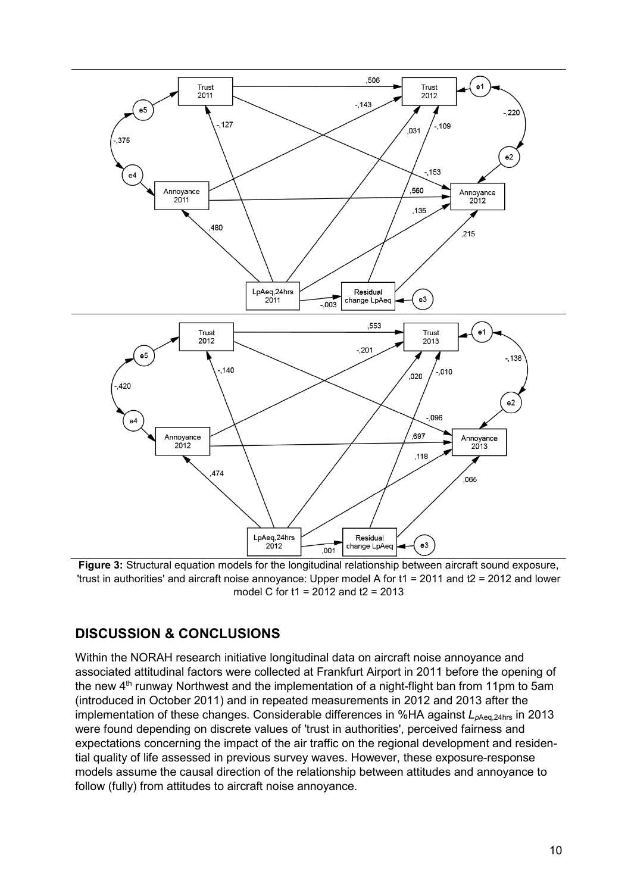

**Figure 3:** Structural equation models for the longitudinal relationship between aircraft sound exposure, 'trust in authorities' and aircraft noise annoyance: Upper model A for t1 = 2011 and t2 = 2012 and lower model C for t1 = 2012 and t2 = 2013

## **DISCUSSION & CONCLUSIONS**

Within the NORAH research initiative longitudinal data on aircraft noise annoyance and associated attitudinal factors were collected at Frankfurt Airport in 2011 before the opening of the new  $4<sup>th</sup>$  runway Northwest and the implementation of a night-flight ban from 11pm to 5am (introduced in October 2011) and in repeated measurements in 2012 and 2013 after the implementation of these changes. Considerable differences in %HA against  $L_{pAea,24hs}$  in 2013 were found depending on discrete values of 'trust in authorities', perceived fairness and expectations concerning the impact of the air traffic on the regional development and residential quality of life assessed in previous survey waves. However, these exposure-response models assume the causal direction of the relationship between attitudes and annoyance to follow (fully) from attitudes to aircraft noise annoyance.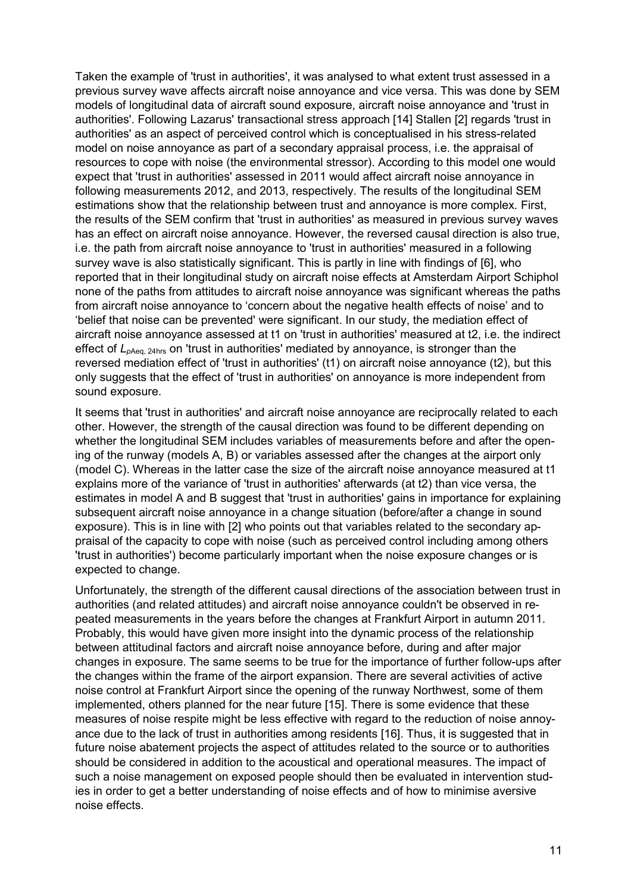Taken the example of 'trust in authorities', it was analysed to what extent trust assessed in a previous survey wave affects aircraft noise annoyance and vice versa. This was done by SEM models of longitudinal data of aircraft sound exposure, aircraft noise annoyance and 'trust in authorities'. Following Lazarus' transactional stress approach [14] Stallen [2] regards 'trust in authorities' as an aspect of perceived control which is conceptualised in his stress-related model on noise annoyance as part of a secondary appraisal process, i.e. the appraisal of resources to cope with noise (the environmental stressor). According to this model one would expect that 'trust in authorities' assessed in 2011 would affect aircraft noise annoyance in following measurements 2012, and 2013, respectively. The results of the longitudinal SEM estimations show that the relationship between trust and annoyance is more complex. First, the results of the SEM confirm that 'trust in authorities' as measured in previous survey waves has an effect on aircraft noise annoyance. However, the reversed causal direction is also true, i.e. the path from aircraft noise annoyance to 'trust in authorities' measured in a following survey wave is also statistically significant. This is partly in line with findings of [6], who reported that in their longitudinal study on aircraft noise effects at Amsterdam Airport Schiphol none of the paths from attitudes to aircraft noise annoyance was significant whereas the paths from aircraft noise annoyance to 'concern about the negative health effects of noise' and to 'belief that noise can be prevented' were significant. In our study, the mediation effect of aircraft noise annoyance assessed at t1 on 'trust in authorities' measured at t2, i.e. the indirect effect of  $L_{\text{pAea. 24hs}}$  on 'trust in authorities' mediated by annoyance, is stronger than the reversed mediation effect of 'trust in authorities' (t1) on aircraft noise annoyance (t2), but this only suggests that the effect of 'trust in authorities' on annoyance is more independent from sound exposure.

It seems that 'trust in authorities' and aircraft noise annoyance are reciprocally related to each other. However, the strength of the causal direction was found to be different depending on whether the longitudinal SEM includes variables of measurements before and after the opening of the runway (models A, B) or variables assessed after the changes at the airport only (model C). Whereas in the latter case the size of the aircraft noise annoyance measured at t1 explains more of the variance of 'trust in authorities' afterwards (at t2) than vice versa, the estimates in model A and B suggest that 'trust in authorities' gains in importance for explaining subsequent aircraft noise annoyance in a change situation (before/after a change in sound exposure). This is in line with [2] who points out that variables related to the secondary appraisal of the capacity to cope with noise (such as perceived control including among others 'trust in authorities') become particularly important when the noise exposure changes or is expected to change.

Unfortunately, the strength of the different causal directions of the association between trust in authorities (and related attitudes) and aircraft noise annoyance couldn't be observed in repeated measurements in the years before the changes at Frankfurt Airport in autumn 2011. Probably, this would have given more insight into the dynamic process of the relationship between attitudinal factors and aircraft noise annoyance before, during and after major changes in exposure. The same seems to be true for the importance of further follow-ups after the changes within the frame of the airport expansion. There are several activities of active noise control at Frankfurt Airport since the opening of the runway Northwest, some of them implemented, others planned for the near future [15]. There is some evidence that these measures of noise respite might be less effective with regard to the reduction of noise annoyance due to the lack of trust in authorities among residents [16]. Thus, it is suggested that in future noise abatement projects the aspect of attitudes related to the source or to authorities should be considered in addition to the acoustical and operational measures. The impact of such a noise management on exposed people should then be evaluated in intervention studies in order to get a better understanding of noise effects and of how to minimise aversive noise effects.